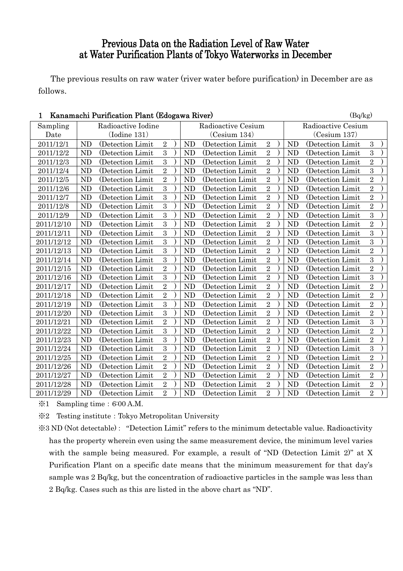# Previous Data on the Radiation Level of Raw Water at Water Purification Plants of Tokyo Waterworks in December

The previous results on raw water (river water before purification) in December are as follows.

| Kanamachi Purification Plant (Edogawa River)<br>1 |                                          |                   |                |  |           |                   |                |  |           | (Bq/kg)            |                  |  |  |  |
|---------------------------------------------------|------------------------------------------|-------------------|----------------|--|-----------|-------------------|----------------|--|-----------|--------------------|------------------|--|--|--|
| Sampling                                          | Radioactive Iodine<br>Radioactive Cesium |                   |                |  |           |                   |                |  |           | Radioactive Cesium |                  |  |  |  |
| Date                                              |                                          | (Iodine 131)      |                |  |           | (Cesium 134)      | (Cesium 137)   |  |           |                    |                  |  |  |  |
| 2011/12/1                                         | <b>ND</b>                                | (Detection Limit  | $\sqrt{2}$     |  | <b>ND</b> | (Detection Limit) | $\sqrt{2}$     |  | <b>ND</b> | (Detection Limit   | $\boldsymbol{3}$ |  |  |  |
| 2011/12/2                                         | <b>ND</b>                                | (Detection Limit  | $\overline{3}$ |  | <b>ND</b> | (Detection Limit  | $\overline{2}$ |  | <b>ND</b> | (Detection Limit   | 3                |  |  |  |
| 2011/12/3                                         | <b>ND</b>                                | (Detection Limit  | 3              |  | <b>ND</b> | (Detection Limit) | $\overline{2}$ |  | <b>ND</b> | (Detection Limit)  | $\overline{2}$   |  |  |  |
| 2011/12/4                                         | <b>ND</b>                                | (Detection Limit  | $\overline{2}$ |  | ND        | (Detection Limit  | $\sqrt{2}$     |  | <b>ND</b> | (Detection Limit   | $\overline{3}$   |  |  |  |
| 2011/12/5                                         | <b>ND</b>                                | (Detection Limit  | $\overline{2}$ |  | ND        | (Detection Limit  | $\overline{2}$ |  | <b>ND</b> | (Detection Limit   | $\overline{2}$   |  |  |  |
| 2011/12/6                                         | <b>ND</b>                                | (Detection Limit) | 3              |  | <b>ND</b> | (Detection Limit) | $\overline{2}$ |  | <b>ND</b> | (Detection Limit   | $\overline{2}$   |  |  |  |
| 2011/12/7                                         | <b>ND</b>                                | (Detection Limit) | 3              |  | ND        | (Detection Limit) | $\overline{2}$ |  | <b>ND</b> | (Detection Limit)  | $\overline{2}$   |  |  |  |
| 2011/12/8                                         | <b>ND</b>                                | (Detection Limit  | 3              |  | ND        | (Detection Limit  | $\overline{2}$ |  | <b>ND</b> | (Detection Limit   | $\overline{2}$   |  |  |  |
| 2011/12/9                                         | <b>ND</b>                                | (Detection Limit  | $\overline{3}$ |  | <b>ND</b> | (Detection Limit  | $\overline{2}$ |  | <b>ND</b> | (Detection Limit   | $\overline{3}$   |  |  |  |
| 2011/12/10                                        | <b>ND</b>                                | (Detection Limit) | $\overline{3}$ |  | ND        | (Detection Limit) | $\sqrt{2}$     |  | <b>ND</b> | (Detection Limit)  | $\overline{2}$   |  |  |  |
| 2011/12/11                                        | <b>ND</b>                                | (Detection Limit  | 3              |  | ND        | (Detection Limit  | $\overline{2}$ |  | ND        | (Detection Limit   | $\overline{3}$   |  |  |  |
| 2011/12/12                                        | <b>ND</b>                                | (Detection Limit) | 3              |  | <b>ND</b> | (Detection Limit) | $\overline{2}$ |  | <b>ND</b> | (Detection Limit)  | 3                |  |  |  |
| 2011/12/13                                        | <b>ND</b>                                | (Detection Limit  | $\overline{3}$ |  | <b>ND</b> | (Detection Limit  | $\,2$          |  | <b>ND</b> | (Detection Limit   | $\overline{2}$   |  |  |  |
| 2011/12/14                                        | <b>ND</b>                                | (Detection Limit  | 3              |  | <b>ND</b> | (Detection Limit  | $\overline{2}$ |  | <b>ND</b> | (Detection Limit   | 3                |  |  |  |
| 2011/12/15                                        | <b>ND</b>                                | (Detection Limit  | $\overline{2}$ |  | ND        | (Detection Limit  | $\overline{2}$ |  | <b>ND</b> | (Detection Limit   | $\overline{2}$   |  |  |  |
| 2011/12/16                                        | <b>ND</b>                                | (Detection Limit) | $\overline{3}$ |  | <b>ND</b> | (Detection Limit) | $\overline{2}$ |  | <b>ND</b> | (Detection Limit)  | $\overline{3}$   |  |  |  |
| 2011/12/17                                        | <b>ND</b>                                | (Detection Limit  | $\overline{2}$ |  | ND        | (Detection Limit  | $\overline{2}$ |  | <b>ND</b> | (Detection Limit   | $\overline{2}$   |  |  |  |
| 2011/12/18                                        | <b>ND</b>                                | (Detection Limit  | $\overline{2}$ |  | <b>ND</b> | (Detection Limit  | $\overline{2}$ |  | <b>ND</b> | (Detection Limit   | $\overline{2}$   |  |  |  |
| 2011/12/19                                        | <b>ND</b>                                | (Detection Limit  | $\overline{3}$ |  | <b>ND</b> | (Detection Limit  | $\overline{2}$ |  | <b>ND</b> | (Detection Limit)  | $\overline{2}$   |  |  |  |
| 2011/12/20                                        | ND                                       | (Detection Limit  | $\overline{3}$ |  | ND        | (Detection Limit  | $\overline{2}$ |  | ND        | (Detection Limit   | $\overline{2}$   |  |  |  |
| 2011/12/21                                        | <b>ND</b>                                | (Detection Limit  | $\overline{2}$ |  | <b>ND</b> | (Detection Limit  | $\overline{2}$ |  | <b>ND</b> | (Detection Limit   | $\overline{3}$   |  |  |  |
| 2011/12/22                                        | <b>ND</b>                                | (Detection Limit  | 3              |  | <b>ND</b> | (Detection Limit  | $\overline{2}$ |  | <b>ND</b> | (Detection Limit   | $\overline{2}$   |  |  |  |
| 2011/12/23                                        | <b>ND</b>                                | (Detection Limit) | 3              |  | ND        | (Detection Limit) | $\overline{2}$ |  | <b>ND</b> | (Detection Limit   | $\overline{2}$   |  |  |  |
| 2011/12/24                                        | <b>ND</b>                                | (Detection Limit  | $\overline{3}$ |  | <b>ND</b> | (Detection Limit  | $\overline{2}$ |  | <b>ND</b> | (Detection Limit   | $\overline{3}$   |  |  |  |
| 2011/12/25                                        | <b>ND</b>                                | (Detection Limit  | $\overline{2}$ |  | <b>ND</b> | (Detection Limit  | $\overline{2}$ |  | <b>ND</b> | (Detection Limit   | $\overline{2}$   |  |  |  |
| 2011/12/26                                        | <b>ND</b>                                | (Detection Limit) | $\overline{2}$ |  | <b>ND</b> | (Detection Limit) | $\overline{2}$ |  | <b>ND</b> | (Detection Limit)  | $\overline{2}$   |  |  |  |
| 2011/12/27                                        | <b>ND</b>                                | (Detection Limit  | $\overline{2}$ |  | ND        | (Detection Limit  | $\overline{2}$ |  | ND        | (Detection Limit   | $\overline{2}$   |  |  |  |
| 2011/12/28                                        | <b>ND</b>                                | (Detection Limit  | $\sqrt{2}$     |  | <b>ND</b> | (Detection Limit  | $\sqrt{2}$     |  | <b>ND</b> | (Detection Limit   | $\overline{2}$   |  |  |  |
| 2011/12/29                                        | ND                                       | (Detection Limit  | $\overline{2}$ |  | <b>ND</b> | (Detection Limit) | $\overline{2}$ |  | <b>ND</b> | (Detection Limit   | $\overline{2}$   |  |  |  |

 $\text{\%}1$  Sampling time: 6:00 A.M.

※2 Testing institute:Tokyo Metropolitan University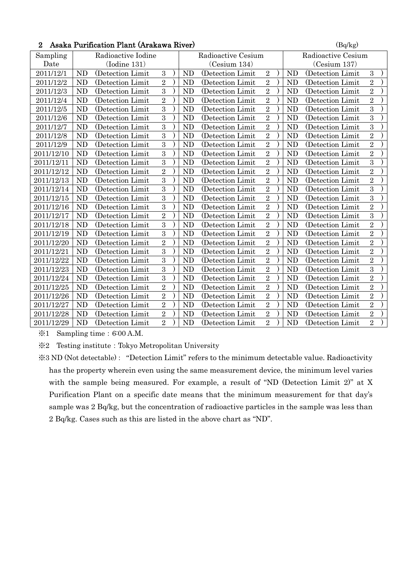|  | 2 Asaka Purification Plant (Arakawa River) | (Bq/kg) |
|--|--------------------------------------------|---------|
|--|--------------------------------------------|---------|

| Sampling   | Radioactive Iodine |                    |                |  |           | Radioactive Cesium | Radioactive Cesium |  |           |                   |                |  |
|------------|--------------------|--------------------|----------------|--|-----------|--------------------|--------------------|--|-----------|-------------------|----------------|--|
| Date       |                    | $($ Iodine 131 $)$ |                |  |           | (Cesium 134)       |                    |  |           | (Cesium 137)      |                |  |
| 2011/12/1  | <b>ND</b>          | (Detection Limit)  | 3              |  | <b>ND</b> | (Detection Limit)  | $\overline{2}$     |  | <b>ND</b> | (Detection Limit) | $\mathbf{3}$   |  |
| 2011/12/2  | <b>ND</b>          | (Detection Limit   | $\overline{2}$ |  | <b>ND</b> | (Detection Limit   | $\overline{2}$     |  | <b>ND</b> | (Detection Limit  | $\overline{2}$ |  |
| 2011/12/3  | <b>ND</b>          | (Detection Limit   | $\overline{3}$ |  | <b>ND</b> | (Detection Limit   | $\overline{2}$     |  | <b>ND</b> | (Detection Limit) | $\overline{2}$ |  |
| 2011/12/4  | <b>ND</b>          | (Detection Limit   | $\sqrt{2}$     |  | <b>ND</b> | (Detection Limit   | $\overline{2}$     |  | <b>ND</b> | (Detection Limit  | $\overline{2}$ |  |
| 2011/12/5  | <b>ND</b>          | (Detection Limit   | $\overline{3}$ |  | ND        | (Detection Limit)  | $\overline{2}$     |  | <b>ND</b> | (Detection Limit) | $\overline{3}$ |  |
| 2011/12/6  | <b>ND</b>          | (Detection Limit)  | 3              |  | <b>ND</b> | (Detection Limit)  | $\overline{2}$     |  | <b>ND</b> | (Detection Limit) | 3              |  |
| 2011/12/7  | <b>ND</b>          | (Detection Limit   | $\overline{3}$ |  | <b>ND</b> | (Detection Limit   | $\overline{2}$     |  | <b>ND</b> | (Detection Limit  | $\overline{3}$ |  |
| 2011/12/8  | <b>ND</b>          | (Detection Limit   | $\overline{3}$ |  | <b>ND</b> | (Detection Limit   | $\overline{2}$     |  | <b>ND</b> | (Detection Limit  | $\overline{2}$ |  |
| 2011/12/9  | <b>ND</b>          | (Detection Limit   | $\overline{3}$ |  | <b>ND</b> | (Detection Limit   | $\overline{2}$     |  | <b>ND</b> | (Detection Limit  | $\overline{2}$ |  |
| 2011/12/10 | <b>ND</b>          | (Detection Limit   | $\overline{3}$ |  | <b>ND</b> | (Detection Limit   | $\overline{2}$     |  | <b>ND</b> | (Detection Limit  | $\overline{2}$ |  |
| 2011/12/11 | <b>ND</b>          | (Detection Limit)  | $\overline{3}$ |  | <b>ND</b> | (Detection Limit)  | $\overline{2}$     |  | <b>ND</b> | (Detection Limit) | $\overline{3}$ |  |
| 2011/12/12 | <b>ND</b>          | (Detection Limit   | $\overline{2}$ |  | <b>ND</b> | (Detection Limit   | $\overline{2}$     |  | <b>ND</b> | (Detection Limit  | $\overline{2}$ |  |
| 2011/12/13 | <b>ND</b>          | (Detection Limit   | $\overline{3}$ |  | <b>ND</b> | (Detection Limit   | $\overline{2}$     |  | <b>ND</b> | (Detection Limit) | $\overline{2}$ |  |
| 2011/12/14 | <b>ND</b>          | (Detection Limit   | $\overline{3}$ |  | <b>ND</b> | (Detection Limit   | $\overline{2}$     |  | <b>ND</b> | (Detection Limit  | $\overline{3}$ |  |
| 2011/12/15 | <b>ND</b>          | (Detection Limit   | $\overline{3}$ |  | <b>ND</b> | (Detection Limit   | $\overline{2}$     |  | <b>ND</b> | (Detection Limit  | $\overline{3}$ |  |
| 2011/12/16 | <b>ND</b>          | (Detection Limit)  | $\overline{3}$ |  | <b>ND</b> | (Detection Limit)  | $\overline{2}$     |  | <b>ND</b> | (Detection Limit) | $\overline{2}$ |  |
| 2011/12/17 | <b>ND</b>          | (Detection Limit   | $\overline{2}$ |  | <b>ND</b> | (Detection Limit   | $\overline{2}$     |  | <b>ND</b> | (Detection Limit  | 3              |  |
| 2011/12/18 | <b>ND</b>          | (Detection Limit)  | $\overline{3}$ |  | <b>ND</b> | (Detection Limit   | $\overline{2}$     |  | <b>ND</b> | (Detection Limit) | $\overline{2}$ |  |
| 2011/12/19 | <b>ND</b>          | (Detection Limit   | $\overline{3}$ |  | <b>ND</b> | (Detection Limit   | $\overline{2}$     |  | <b>ND</b> | (Detection Limit  | $\overline{2}$ |  |
| 2011/12/20 | <b>ND</b>          | (Detection Limit   | $\overline{2}$ |  | <b>ND</b> | (Detection Limit)  | $\overline{2}$     |  | <b>ND</b> | (Detection Limit) | $\overline{2}$ |  |
| 2011/12/21 | <b>ND</b>          | (Detection Limit)  | 3              |  | <b>ND</b> | (Detection Limit)  | $\overline{2}$     |  | <b>ND</b> | (Detection Limit) | $\overline{2}$ |  |
| 2011/12/22 | <b>ND</b>          | (Detection Limit   | 3              |  | <b>ND</b> | (Detection Limit   | $\overline{2}$     |  | <b>ND</b> | (Detection Limit  | $\overline{2}$ |  |
| 2011/12/23 | <b>ND</b>          | (Detection Limit   | $\overline{3}$ |  | <b>ND</b> | (Detection Limit   | $\overline{2}$     |  | <b>ND</b> | (Detection Limit  | $\overline{3}$ |  |
| 2011/12/24 | <b>ND</b>          | (Detection Limit   | $\overline{3}$ |  | <b>ND</b> | (Detection Limit   | $\overline{2}$     |  | <b>ND</b> | (Detection Limit  | $\overline{2}$ |  |
| 2011/12/25 | <b>ND</b>          | (Detection Limit)  | $\overline{2}$ |  | <b>ND</b> | (Detection Limit)  | $\overline{2}$     |  | <b>ND</b> | (Detection Limit) | $\overline{2}$ |  |
| 2011/12/26 | <b>ND</b>          | (Detection Limit)  | $\overline{2}$ |  | <b>ND</b> | (Detection Limit)  | $\overline{2}$     |  | <b>ND</b> | (Detection Limit) | $\overline{2}$ |  |
| 2011/12/27 | <b>ND</b>          | (Detection Limit   | $\overline{2}$ |  | <b>ND</b> | (Detection Limit   | $\overline{2}$     |  | <b>ND</b> | (Detection Limit  | $\overline{2}$ |  |
| 2011/12/28 | <b>ND</b>          | (Detection Limit   | $\overline{2}$ |  | <b>ND</b> | (Detection Limit   | $\overline{2}$     |  | <b>ND</b> | (Detection Limit  | $\overline{2}$ |  |
| 2011/12/29 | N <sub>D</sub>     | (Detection Limit)  | $\overline{2}$ |  | <b>ND</b> | (Detection Limit)  | $\overline{2}$     |  | <b>ND</b> | (Detection Limit) | $\overline{2}$ |  |

※1 Sampling time:6:00 A.M.

※2 Testing institute:Tokyo Metropolitan University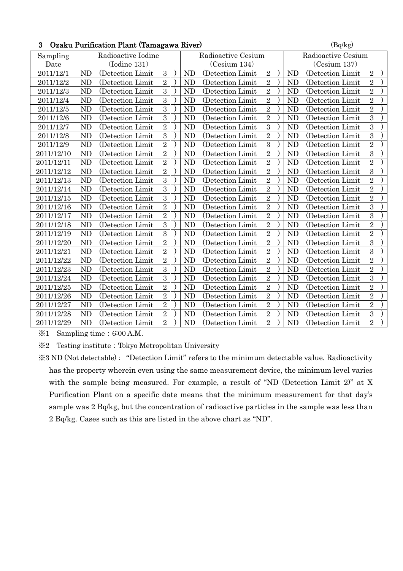| 3<br>Ozaku Purification Plant (Tamagawa River) |           |                    |                  |  |                    |                   |                |  |           | (Bq/kg)            |                |  |  |  |
|------------------------------------------------|-----------|--------------------|------------------|--|--------------------|-------------------|----------------|--|-----------|--------------------|----------------|--|--|--|
| Sampling                                       |           | Radioactive Iodine |                  |  | Radioactive Cesium |                   |                |  |           | Radioactive Cesium |                |  |  |  |
| Date                                           |           | $($ Iodine 131 $)$ |                  |  |                    | (Cesium 134)      |                |  |           | (Cesium 137)       |                |  |  |  |
| 2011/12/1                                      | <b>ND</b> | (Detection Limit)  | $\boldsymbol{3}$ |  | <b>ND</b>          | (Detection Limit  | $\sqrt{2}$     |  | <b>ND</b> | (Detection Limit)  | $\sqrt{2}$     |  |  |  |
| 2011/12/2                                      | ND        | (Detection Limit   | $\overline{2}$   |  | ND                 | (Detection Limit  | $\overline{2}$ |  | <b>ND</b> | (Detection Limit   | $\overline{2}$ |  |  |  |
| 2011/12/3                                      | <b>ND</b> | (Detection Limit   | $\overline{3}$   |  | N <sub>D</sub>     | (Detection Limit  | $\overline{2}$ |  | <b>ND</b> | (Detection Limit   | $\overline{2}$ |  |  |  |
| 2011/12/4                                      | <b>ND</b> | (Detection Limit   | 3                |  | <b>ND</b>          | (Detection Limit  | $\overline{2}$ |  | <b>ND</b> | (Detection Limit   | $\overline{2}$ |  |  |  |
| 2011/12/5                                      | <b>ND</b> | (Detection Limit   | $\overline{3}$   |  | <b>ND</b>          | (Detection Limit  | $\overline{2}$ |  | <b>ND</b> | (Detection Limit   | $\overline{2}$ |  |  |  |
| 2011/12/6                                      | <b>ND</b> | (Detection Limit   | 3                |  | N <sub>D</sub>     | (Detection Limit  | $\overline{2}$ |  | <b>ND</b> | (Detection Limit   | $\overline{3}$ |  |  |  |
| 2011/12/7                                      | <b>ND</b> | (Detection Limit)  | $\overline{2}$   |  | N <sub>D</sub>     | (Detection Limit  | 3              |  | <b>ND</b> | (Detection Limit   | 3              |  |  |  |
| 2011/12/8                                      | <b>ND</b> | (Detection Limit   | $\overline{3}$   |  | <b>ND</b>          | (Detection Limit  | $\overline{2}$ |  | <b>ND</b> | (Detection Limit)  | $\overline{3}$ |  |  |  |
| 2011/12/9                                      | <b>ND</b> | (Detection Limit   | $\overline{2}$   |  | N <sub>D</sub>     | (Detection Limit  | $\overline{3}$ |  | <b>ND</b> | (Detection Limit   | $\overline{2}$ |  |  |  |
| 2011/12/10                                     | <b>ND</b> | (Detection Limit   | $\sqrt{2}$       |  | ND                 | (Detection Limit  | $\sqrt{2}$     |  | <b>ND</b> | (Detection Limit)  | $\overline{3}$ |  |  |  |
| 2011/12/11                                     | <b>ND</b> | (Detection Limit   | $\overline{2}$   |  | <b>ND</b>          | (Detection Limit  | $\overline{2}$ |  | <b>ND</b> | (Detection Limit)  | $\overline{2}$ |  |  |  |
| 2011/12/12                                     | <b>ND</b> | (Detection Limit)  | $\overline{2}$   |  | <b>ND</b>          | (Detection Limit) | $\overline{2}$ |  | <b>ND</b> | (Detection Limit)  | $\overline{3}$ |  |  |  |
| 2011/12/13                                     | <b>ND</b> | (Detection Limit)  | $\sqrt{3}$       |  | <b>ND</b>          | (Detection Limit) | $\overline{2}$ |  | <b>ND</b> | (Detection Limit   | $\overline{2}$ |  |  |  |
| 2011/12/14                                     | <b>ND</b> | (Detection Limit   | $\overline{3}$   |  | ND                 | (Detection Limit  | $\overline{2}$ |  | <b>ND</b> | (Detection Limit)  | $\overline{2}$ |  |  |  |
| 2011/12/15                                     | <b>ND</b> | (Detection Limit)  | $\overline{3}$   |  | <b>ND</b>          | (Detection Limit) | $\overline{2}$ |  | <b>ND</b> | (Detection Limit)  | $\overline{2}$ |  |  |  |
| 2011/12/16                                     | <b>ND</b> | (Detection Limit   | $\sqrt{2}$       |  | <b>ND</b>          | (Detection Limit  | $\sqrt{2}$     |  | <b>ND</b> | (Detection Limit)  | 3              |  |  |  |
| 2011/12/17                                     | <b>ND</b> | (Detection Limit   | $\overline{2}$   |  | ND                 | (Detection Limit  | $\overline{2}$ |  | <b>ND</b> | (Detection Limit   | $\overline{3}$ |  |  |  |
| 2011/12/18                                     | <b>ND</b> | (Detection Limit)  | $\overline{3}$   |  | N <sub>D</sub>     | (Detection Limit) | $\overline{2}$ |  | <b>ND</b> | (Detection Limit   | $\sqrt{2}$     |  |  |  |
| 2011/12/19                                     | <b>ND</b> | (Detection Limit)  | $\sqrt{3}$       |  | <b>ND</b>          | (Detection Limit  | $\sqrt{2}$     |  | <b>ND</b> | (Detection Limit)  | $\sqrt{2}$     |  |  |  |
| 2011/12/20                                     | ND        | (Detection Limit   | $\overline{2}$   |  | <b>ND</b>          | (Detection Limit  | $\overline{2}$ |  | <b>ND</b> | (Detection Limit   | 3              |  |  |  |
| 2011/12/21                                     | <b>ND</b> | (Detection Limit   | $\overline{2}$   |  | <b>ND</b>          | (Detection Limit  | $\overline{2}$ |  | <b>ND</b> | (Detection Limit   | $\overline{3}$ |  |  |  |
| 2011/12/22                                     | <b>ND</b> | (Detection Limit)  | $\,2$            |  | <b>ND</b>          | (Detection Limit) | $\sqrt{2}$     |  | <b>ND</b> | (Detection Limit)  | $\overline{2}$ |  |  |  |
| 2011/12/23                                     | <b>ND</b> | (Detection Limit   | $\overline{3}$   |  | ND                 | (Detection Limit  | $\overline{2}$ |  | <b>ND</b> | (Detection Limit   | $\overline{2}$ |  |  |  |
| 2011/12/24                                     | <b>ND</b> | (Detection Limit)  | $\overline{3}$   |  | N <sub>D</sub>     | (Detection Limit) | $\overline{2}$ |  | <b>ND</b> | (Detection Limit   | $\overline{3}$ |  |  |  |
| 2011/12/25                                     | <b>ND</b> | (Detection Limit)  | $\sqrt{2}$       |  | <b>ND</b>          | (Detection Limit) | $\overline{2}$ |  | <b>ND</b> | (Detection Limit)  | $\overline{2}$ |  |  |  |
| 2011/12/26                                     | <b>ND</b> | (Detection Limit   | $\sqrt{2}$       |  | ND                 | (Detection Limit  | $\overline{2}$ |  | <b>ND</b> | (Detection Limit   | $\sqrt{2}$     |  |  |  |
| 2011/12/27                                     | <b>ND</b> | (Detection Limit   | $\overline{2}$   |  | ND                 | (Detection Limit  | $\overline{2}$ |  | <b>ND</b> | (Detection Limit   | $\overline{2}$ |  |  |  |
| 2011/12/28                                     | <b>ND</b> | (Detection Limit)  | $\,2$            |  | <b>ND</b>          | (Detection Limit) | $\sqrt{2}$     |  | <b>ND</b> | (Detection Limit)  | $\mathbf{3}$   |  |  |  |
| 2011/12/29                                     | <b>ND</b> | (Detection Limit   | $\overline{2}$   |  | ND                 | (Detection Limit) | $\overline{2}$ |  | <b>ND</b> | (Detection Limit   | $\overline{2}$ |  |  |  |

※1 Sampling time:6:00 A.M.

※2 Testing institute:Tokyo Metropolitan University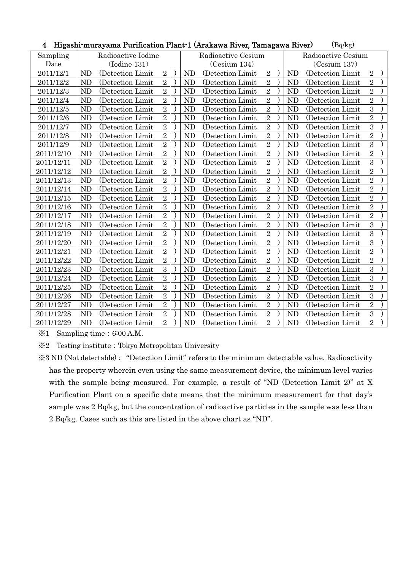|            |              |                    |                |  | THRASHI IIIurayaina Furincation Fiant T\Arakawa Kiver, Tamagawa Kiver)<br>(DQ/Kg) |                   |                |                    |                |                   |                |  |  |
|------------|--------------|--------------------|----------------|--|-----------------------------------------------------------------------------------|-------------------|----------------|--------------------|----------------|-------------------|----------------|--|--|
| Sampling   |              | Radioactive Iodine |                |  | Radioactive Cesium                                                                |                   |                | Radioactive Cesium |                |                   |                |  |  |
| Date       | (Iodine 131) |                    |                |  |                                                                                   | (Cesium 134)      |                | (Cesium 137)       |                |                   |                |  |  |
| 2011/12/1  | <b>ND</b>    | (Detection Limit   | $\sqrt{2}$     |  | <b>ND</b>                                                                         | (Detection Limit  | $\overline{2}$ |                    | <b>ND</b>      | (Detection Limit  | $\sqrt{2}$     |  |  |
| 2011/12/2  | <b>ND</b>    | (Detection Limit)  | $\overline{2}$ |  | ND                                                                                | (Detection Limit) | $\sqrt{2}$     |                    | <b>ND</b>      | (Detection Limit  | $\overline{2}$ |  |  |
| 2011/12/3  | <b>ND</b>    | (Detection Limit)  | $\overline{2}$ |  | <b>ND</b>                                                                         | (Detection Limit) | $\overline{2}$ |                    | <b>ND</b>      | (Detection Limit  | $\overline{2}$ |  |  |
| 2011/12/4  | <b>ND</b>    | (Detection Limit   | $\,2$          |  | ND                                                                                | (Detection Limit) | $\overline{2}$ |                    | ND             | (Detection Limit  | $\overline{2}$ |  |  |
| 2011/12/5  | <b>ND</b>    | (Detection Limit)  | $\overline{2}$ |  | ND                                                                                | (Detection Limit) | $\sqrt{2}$     |                    | <b>ND</b>      | (Detection Limit) | $\overline{3}$ |  |  |
| 2011/12/6  | <b>ND</b>    | (Detection Limit   | $\overline{2}$ |  | <b>ND</b>                                                                         | (Detection Limit) | $\overline{2}$ |                    | <b>ND</b>      | (Detection Limit  | $\overline{2}$ |  |  |
| 2011/12/7  | <b>ND</b>    | (Detection Limit   | $\overline{2}$ |  | <b>ND</b>                                                                         | (Detection Limit  | $\overline{2}$ |                    | <b>ND</b>      | (Detection Limit) | 3              |  |  |
| 2011/12/8  | <b>ND</b>    | (Detection Limit)  | $\overline{2}$ |  | <b>ND</b>                                                                         | (Detection Limit) | $\overline{2}$ |                    | ND             | (Detection Limit) | $\overline{2}$ |  |  |
| 2011/12/9  | <b>ND</b>    | (Detection Limit)  | $\,2$          |  | <b>ND</b>                                                                         | (Detection Limit) | $\overline{2}$ |                    | <b>ND</b>      | (Detection Limit) | $\overline{3}$ |  |  |
| 2011/12/10 | <b>ND</b>    | (Detection Limit   | $\overline{2}$ |  | ND                                                                                | (Detection Limit  | $\overline{2}$ |                    | <b>ND</b>      | (Detection Limit  | $\overline{2}$ |  |  |
| 2011/12/11 | ND           | (Detection Limit   | $\overline{2}$ |  | <b>ND</b>                                                                         | (Detection Limit  | $\overline{2}$ |                    | ND             | (Detection Limit  | $\overline{3}$ |  |  |
| 2011/12/12 | <b>ND</b>    | (Detection Limit)  | $\,2$          |  | ND                                                                                | (Detection Limit) | $\,2$          |                    | <b>ND</b>      | (Detection Limit) | $\overline{2}$ |  |  |
| 2011/12/13 | <b>ND</b>    | (Detection Limit)  | $\overline{2}$ |  | ND                                                                                | (Detection Limit) | $\overline{2}$ |                    | <b>ND</b>      | (Detection Limit  | $\overline{2}$ |  |  |
| 2011/12/14 | <b>ND</b>    | (Detection Limit)  | $\overline{2}$ |  | ND                                                                                | (Detection Limit) | $\overline{2}$ |                    | <b>ND</b>      | (Detection Limit) | $\overline{2}$ |  |  |
| 2011/12/15 | <b>ND</b>    | (Detection Limit)  | $\overline{2}$ |  | ND                                                                                | (Detection Limit) | $\,2$          |                    | ND             | (Detection Limit  | $\overline{2}$ |  |  |
| 2011/12/16 | <b>ND</b>    | (Detection Limit)  | $\overline{2}$ |  | ND                                                                                | (Detection Limit) | $\overline{2}$ |                    | <b>ND</b>      | (Detection Limit) | $\overline{2}$ |  |  |
| 2011/12/17 | <b>ND</b>    | (Detection Limit   | $\overline{2}$ |  | ND                                                                                | (Detection Limit  | $\overline{2}$ |                    | <b>ND</b>      | (Detection Limit  | $\overline{2}$ |  |  |
| 2011/12/18 | <b>ND</b>    | (Detection Limit   | $\overline{2}$ |  | ND                                                                                | (Detection Limit) | $\overline{2}$ |                    | <b>ND</b>      | (Detection Limit  | 3              |  |  |
| 2011/12/19 | <b>ND</b>    | (Detection Limit)  | $\overline{2}$ |  | ND                                                                                | (Detection Limit) | $\sqrt{2}$     |                    | <b>ND</b>      | (Detection Limit) | $\sqrt{3}$     |  |  |
| 2011/12/20 | <b>ND</b>    | (Detection Limit)  | $\overline{2}$ |  | <b>ND</b>                                                                         | (Detection Limit) | $\sqrt{2}$     |                    | <b>ND</b>      | (Detection Limit) | $\overline{3}$ |  |  |
| 2011/12/21 | <b>ND</b>    | (Detection Limit)  | $\overline{2}$ |  | <b>ND</b>                                                                         | (Detection Limit) | $\overline{2}$ |                    | <b>ND</b>      | (Detection Limit) | $\overline{2}$ |  |  |
| 2011/12/22 | <b>ND</b>    | (Detection Limit   | $\overline{2}$ |  | ND                                                                                | (Detection Limit) | $\overline{2}$ |                    | ND             | (Detection Limit) | $\overline{2}$ |  |  |
| 2011/12/23 | <b>ND</b>    | (Detection Limit)  | $\sqrt{3}$     |  | ND                                                                                | (Detection Limit  | $\overline{2}$ |                    | <b>ND</b>      | (Detection Limit) | $\overline{3}$ |  |  |
| 2011/12/24 | <b>ND</b>    | (Detection Limit)  | $\overline{2}$ |  | ND                                                                                | (Detection Limit) | $\sqrt{2}$     |                    | <b>ND</b>      | (Detection Limit  | $\overline{3}$ |  |  |
| 2011/12/25 | <b>ND</b>    | (Detection Limit)  | $\overline{2}$ |  | <b>ND</b>                                                                         | (Detection Limit) | $\sqrt{2}$     |                    | N <sub>D</sub> | (Detection Limit  | $\overline{2}$ |  |  |
| 2011/12/26 | <b>ND</b>    | (Detection Limit)  | $\overline{2}$ |  | ND                                                                                | (Detection Limit) | $\sqrt{2}$     |                    | <b>ND</b>      | (Detection Limit) | $\overline{3}$ |  |  |
| 2011/12/27 | <b>ND</b>    | (Detection Limit)  | $\overline{2}$ |  | ND                                                                                | (Detection Limit) | $\sqrt{2}$     |                    | <b>ND</b>      | (Detection Limit  | $\overline{2}$ |  |  |
| 2011/12/28 | <b>ND</b>    | (Detection Limit)  | $\sqrt{2}$     |  | ND                                                                                | (Detection Limit) | $\sqrt{2}$     |                    | <b>ND</b>      | (Detection Limit) | $\overline{3}$ |  |  |
| 2011/12/29 | <b>ND</b>    | (Detection Limit)  | $\overline{2}$ |  | ND                                                                                | (Detection Limit) | $\overline{2}$ |                    | ND             | (Detection Limit) | $\overline{2}$ |  |  |

### 4 Higashi-murayama Purification Plant-1 (Arakawa River, Tamagawa Riyar)  $(B_{\alpha}/k_{\alpha})$

 $\text{\%}1$  Sampling time: 6:00 A.M.

※2 Testing institute:Tokyo Metropolitan University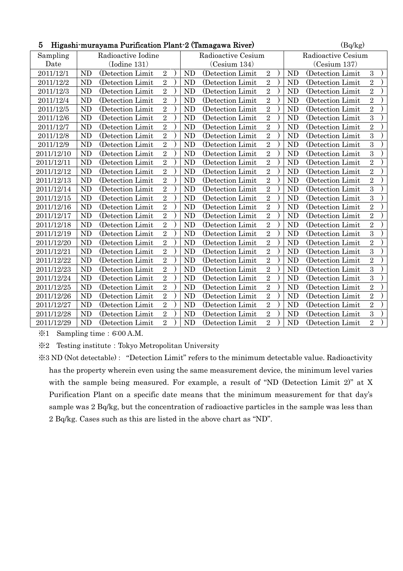| 5<br>Higashi-murayama Purification Plant-2 (Tamagawa River) |           |                    |                |  |                |                    |                |  |           | (Bq/kg)            |                |  |  |
|-------------------------------------------------------------|-----------|--------------------|----------------|--|----------------|--------------------|----------------|--|-----------|--------------------|----------------|--|--|
| Sampling                                                    |           | Radioactive Iodine |                |  |                | Radioactive Cesium |                |  |           | Radioactive Cesium |                |  |  |
| Date                                                        |           | (Iodine 131)       |                |  |                | (Cesium 134)       | (Cesium 137)   |  |           |                    |                |  |  |
| 2011/12/1                                                   | <b>ND</b> | (Detection Limit)  | $\sqrt{2}$     |  | <b>ND</b>      | (Detection Limit)  | $\sqrt{2}$     |  | <b>ND</b> | (Detection Limit   | $\mathbf{3}$   |  |  |
| 2011/12/2                                                   | <b>ND</b> | (Detection Limit   | $\overline{2}$ |  | ND             | (Detection Limit   | $\overline{2}$ |  | <b>ND</b> | (Detection Limit   | $\overline{2}$ |  |  |
| 2011/12/3                                                   | <b>ND</b> | (Detection Limit   | $\overline{2}$ |  | N <sub>D</sub> | (Detection Limit   | $\overline{2}$ |  | ND        | (Detection Limit   | $\overline{2}$ |  |  |
| 2011/12/4                                                   | <b>ND</b> | (Detection Limit)  | $\overline{2}$ |  | <b>ND</b>      | (Detection Limit   | $\overline{2}$ |  | <b>ND</b> | (Detection Limit   | $\overline{2}$ |  |  |
| 2011/12/5                                                   | <b>ND</b> | (Detection Limit   | $\overline{2}$ |  | ND             | (Detection Limit   | $\overline{2}$ |  | <b>ND</b> | (Detection Limit   | $\overline{2}$ |  |  |
| 2011/12/6                                                   | <b>ND</b> | (Detection Limit)  | $\overline{2}$ |  | <b>ND</b>      | (Detection Limit   | $\overline{2}$ |  | <b>ND</b> | (Detection Limit   | $\overline{3}$ |  |  |
| 2011/12/7                                                   | <b>ND</b> | (Detection Limit)  | $\overline{2}$ |  | <b>ND</b>      | (Detection Limit   | $\overline{2}$ |  | <b>ND</b> | (Detection Limit)  | $\overline{2}$ |  |  |
| 2011/12/8                                                   | <b>ND</b> | (Detection Limit   | $\overline{2}$ |  | <b>ND</b>      | (Detection Limit)  | $\overline{2}$ |  | ND        | (Detection Limit   | 3              |  |  |
| 2011/12/9                                                   | <b>ND</b> | (Detection Limit)  | $\overline{2}$ |  | <b>ND</b>      | (Detection Limit   | $\overline{2}$ |  | <b>ND</b> | (Detection Limit   | $\overline{3}$ |  |  |
| 2011/12/10                                                  | <b>ND</b> | (Detection Limit   | $\overline{2}$ |  | <b>ND</b>      | (Detection Limit   | $\overline{2}$ |  | <b>ND</b> | (Detection Limit   | $\overline{3}$ |  |  |
| 2011/12/11                                                  | <b>ND</b> | (Detection Limit)  | $\overline{2}$ |  | <b>ND</b>      | (Detection Limit)  | $\overline{2}$ |  | ND        | (Detection Limit)  | $\overline{2}$ |  |  |
| 2011/12/12                                                  | <b>ND</b> | (Detection Limit)  | $\overline{2}$ |  | ND             | (Detection Limit   | $\overline{2}$ |  | <b>ND</b> | (Detection Limit   | $\overline{2}$ |  |  |
| 2011/12/13                                                  | <b>ND</b> | (Detection Limit)  | $\overline{2}$ |  | <b>ND</b>      | (Detection Limit)  | $\overline{2}$ |  | <b>ND</b> | (Detection Limit)  | $\overline{2}$ |  |  |
| 2011/12/14                                                  | <b>ND</b> | (Detection Limit)  | $\overline{2}$ |  | <b>ND</b>      | (Detection Limit)  | $\overline{2}$ |  | <b>ND</b> | (Detection Limit   | 3              |  |  |
| 2011/12/15                                                  | <b>ND</b> | (Detection Limit)  | $\overline{2}$ |  | <b>ND</b>      | (Detection Limit)  | $\overline{2}$ |  | <b>ND</b> | (Detection Limit   | 3              |  |  |
| 2011/12/16                                                  | <b>ND</b> | (Detection Limit   | $\overline{2}$ |  | ND             | (Detection Limit   | $\overline{2}$ |  | <b>ND</b> | (Detection Limit   | $\overline{2}$ |  |  |
| 2011/12/17                                                  | <b>ND</b> | (Detection Limit   | $\overline{2}$ |  | ND             | (Detection Limit   | $\overline{2}$ |  | ND        | (Detection Limit   | $\overline{2}$ |  |  |
| 2011/12/18                                                  | <b>ND</b> | (Detection Limit)  | $\overline{2}$ |  | ND             | (Detection Limit)  | $\overline{2}$ |  | <b>ND</b> | (Detection Limit   | $\overline{2}$ |  |  |
| 2011/12/19                                                  | <b>ND</b> | (Detection Limit   | $\overline{2}$ |  | <b>ND</b>      | (Detection Limit)  | $\overline{2}$ |  | <b>ND</b> | (Detection Limit   | $\overline{3}$ |  |  |
| 2011/12/20                                                  | <b>ND</b> | (Detection Limit)  | $\overline{2}$ |  | <b>ND</b>      | (Detection Limit)  | $\overline{2}$ |  | <b>ND</b> | (Detection Limit)  | $\overline{2}$ |  |  |
| 2011/12/21                                                  | <b>ND</b> | (Detection Limit)  | $\overline{2}$ |  | <b>ND</b>      | (Detection Limit)  | $\overline{2}$ |  | <b>ND</b> | (Detection Limit)  | $\overline{3}$ |  |  |
| 2011/12/22                                                  | <b>ND</b> | (Detection Limit   | $\overline{2}$ |  | <b>ND</b>      | (Detection Limit   | $\overline{2}$ |  | <b>ND</b> | (Detection Limit   | $\overline{2}$ |  |  |
| 2011/12/23                                                  | <b>ND</b> | (Detection Limit)  | $\overline{2}$ |  | <b>ND</b>      | (Detection Limit)  | $\overline{2}$ |  | <b>ND</b> | (Detection Limit   | $\overline{3}$ |  |  |
| 2011/12/24                                                  | <b>ND</b> | (Detection Limit)  | $\overline{2}$ |  | <b>ND</b>      | (Detection Limit)  | $\overline{2}$ |  | <b>ND</b> | (Detection Limit   | $\overline{3}$ |  |  |
| 2011/12/25                                                  | <b>ND</b> | (Detection Limit   | $\overline{2}$ |  | <b>ND</b>      | (Detection Limit)  | $\overline{2}$ |  | <b>ND</b> | (Detection Limit   | $\overline{2}$ |  |  |
| 2011/12/26                                                  | <b>ND</b> | (Detection Limit)  | $\overline{2}$ |  | ND             | (Detection Limit)  | $\overline{2}$ |  | <b>ND</b> | (Detection Limit   | $\overline{2}$ |  |  |
| 2011/12/27                                                  | <b>ND</b> | (Detection Limit   | $\overline{2}$ |  | ND             | (Detection Limit)  | $\overline{2}$ |  | <b>ND</b> | (Detection Limit)  | $\overline{2}$ |  |  |
| 2011/12/28                                                  | <b>ND</b> | (Detection Limit)  | $\overline{2}$ |  | <b>ND</b>      | (Detection Limit)  | $\overline{2}$ |  | <b>ND</b> | (Detection Limit)  | 3              |  |  |
| 2011/12/29                                                  | <b>ND</b> | (Detection Limit)  | $\overline{2}$ |  | <b>ND</b>      | (Detection Limit)  | $\overline{2}$ |  | <b>ND</b> | (Detection Limit)  | $\overline{2}$ |  |  |

※1 Sampling time:6:00 A.M.

※2 Testing institute:Tokyo Metropolitan University